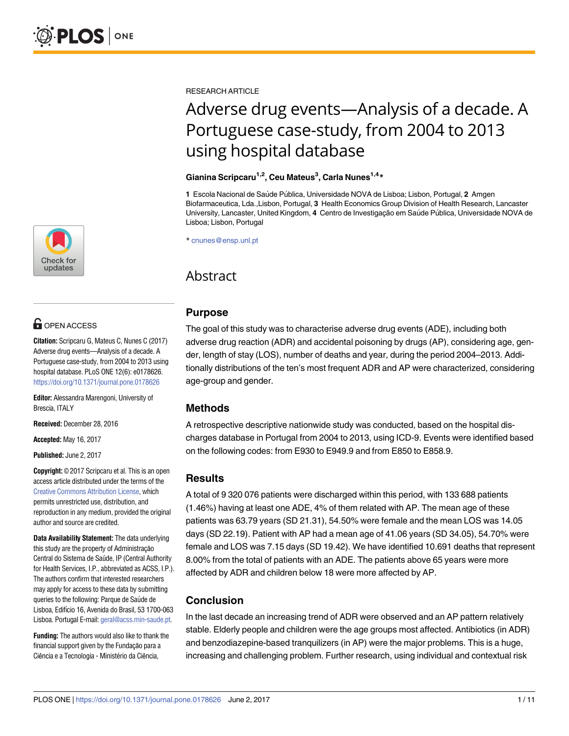

## **OPEN ACCESS**

**Citation:** Scripcaru G, Mateus C, Nunes C (2017) Adverse drug events—Analysis of a decade. A Portuguese case-study, from 2004 to 2013 using hospital database. PLoS ONE 12(6): e0178626. <https://doi.org/10.1371/journal.pone.0178626>

**Editor:** Alessandra Marengoni, University of Brescia, ITALY

**Received:** December 28, 2016

**Accepted:** May 16, 2017

**Published:** June 2, 2017

**Copyright:** © 2017 Scripcaru et al. This is an open access article distributed under the terms of the Creative Commons [Attribution](http://creativecommons.org/licenses/by/4.0/) License, which permits unrestricted use, distribution, and reproduction in any medium, provided the original author and source are credited.

**Data Availability Statement:** The data underlying this study are the property of Administração Central do Sistema de Saúde, IP (Central Authority for Health Services, I.P., abbreviated as ACSS, I.P.). The authors confirm that interested researchers may apply for access to these data by submitting queries to the following: Parque de Saúde de Lisboa, Edifício 16, Avenida do Brasil, 53 1700-063 Lisboa. Portugal E-mail: [geral@acss.min-saude.pt](mailto:geral@acss.min-saude.pt).

**Funding:** The authors would also like to thank the financial support given by the Fundação para a Ciência e a Tecnologia - Ministério da Ciência,

RESEARCH ARTICLE

# Adverse drug events—Analysis of a decade. A Portuguese case-study, from 2004 to 2013 using hospital database

#### **Gianina Scripcaru1,2, Ceu Mateus3 , Carla Nunes1,4\***

**1** Escola Nacional de Sau´de Pu´blica, Universidade NOVA de Lisboa; Lisbon, Portugal, **2** Amgen Biofarmaceutica, Lda.,Lisbon, Portugal, **3** Health Economics Group Division of Health Research, Lancaster University, Lancaster, United Kingdom, 4 Centro de Investigação em Saúde Pública, Universidade NOVA de Lisboa; Lisbon, Portugal

\* cnunes@ensp.unl.pt

## Abstract

### **Purpose**

The goal of this study was to characterise adverse drug events (ADE), including both adverse drug reaction (ADR) and accidental poisoning by drugs (AP), considering age, gender, length of stay (LOS), number of deaths and year, during the period 2004–2013. Additionally distributions of the ten's most frequent ADR and AP were characterized, considering age-group and gender.

#### **Methods**

A retrospective descriptive nationwide study was conducted, based on the hospital discharges database in Portugal from 2004 to 2013, using ICD-9. Events were identified based on the following codes: from E930 to E949.9 and from E850 to E858.9.

#### **Results**

A total of 9 320 076 patients were discharged within this period, with 133 688 patients (1.46%) having at least one ADE, 4% of them related with AP. The mean age of these patients was 63.79 years (SD 21.31), 54.50% were female and the mean LOS was 14.05 days (SD 22.19). Patient with AP had a mean age of 41.06 years (SD 34.05), 54.70% were female and LOS was 7.15 days (SD 19.42). We have identified 10.691 deaths that represent 8.00% from the total of patients with an ADE. The patients above 65 years were more affected by ADR and children below 18 were more affected by AP.

#### **Conclusion**

In the last decade an increasing trend of ADR were observed and an AP pattern relatively stable. Elderly people and children were the age groups most affected. Antibiotics (in ADR) and benzodiazepine-based tranquilizers (in AP) were the major problems. This is a huge, increasing and challenging problem. Further research, using individual and contextual risk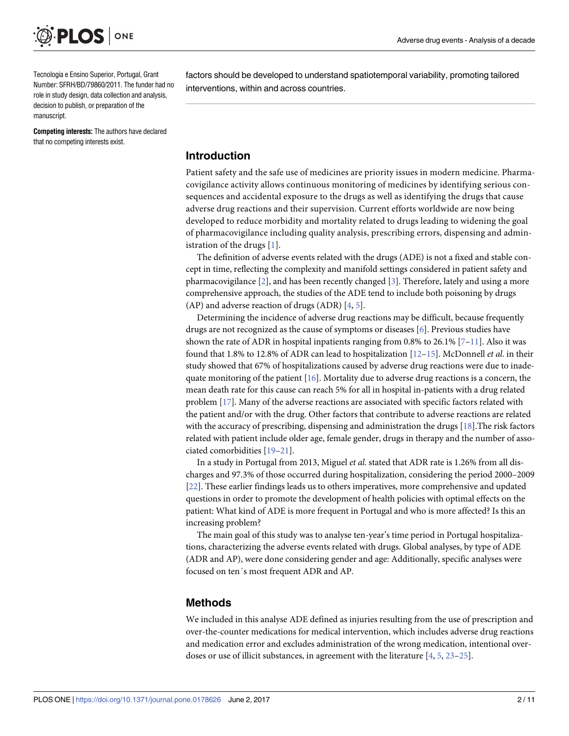<span id="page-1-0"></span>

Tecnologia e Ensino Superior, Portugal, Grant Number: SFRH/BD/79860/2011. The funder had no role in study design, data collection and analysis, decision to publish, or preparation of the manuscript.

**Competing interests:** The authors have declared that no competing interests exist.

factors should be developed to understand spatiotemporal variability, promoting tailored interventions, within and across countries.

#### **Introduction**

Patient safety and the safe use of medicines are priority issues in modern medicine. Pharmacovigilance activity allows continuous monitoring of medicines by identifying serious consequences and accidental exposure to the drugs as well as identifying the drugs that cause adverse drug reactions and their supervision. Current efforts worldwide are now being developed to reduce morbidity and mortality related to drugs leading to widening the goal of pharmacovigilance including quality analysis, prescribing errors, dispensing and administration of the drugs [[1](#page-7-0)].

The definition of adverse events related with the drugs (ADE) is not a fixed and stable concept in time, reflecting the complexity and manifold settings considered in patient safety and pharmacovigilance [\[2\]](#page-7-0), and has been recently changed [\[3\]](#page-7-0). Therefore, lately and using a more comprehensive approach, the studies of the ADE tend to include both poisoning by drugs (AP) and adverse reaction of drugs (ADR) [[4](#page-7-0), [5](#page-7-0)].

Determining the incidence of adverse drug reactions may be difficult, because frequently drugs are not recognized as the cause of symptoms or diseases [[6](#page-7-0)]. Previous studies have shown the rate of ADR in hospital inpatients ranging from 0.8% to 26.1%  $[7-11]$  $[7-11]$ . Also it was found that 1.8% to 12.8% of ADR can lead to hospitalization [\[12–15\]](#page-8-0). McDonnell *et al*. in their study showed that 67% of hospitalizations caused by adverse drug reactions were due to inade-quate monitoring of the patient [[16](#page-8-0)]. Mortality due to adverse drug reactions is a concern, the mean death rate for this cause can reach 5% for all in hospital in-patients with a drug related problem [[17](#page-8-0)]. Many of the adverse reactions are associated with specific factors related with the patient and/or with the drug. Other factors that contribute to adverse reactions are related with the accuracy of prescribing, dispensing and administration the drugs [[18\]](#page-8-0).The risk factors related with patient include older age, female gender, drugs in therapy and the number of associated comorbidities [\[19–21](#page-8-0)].

In a study in Portugal from 2013, Miguel *et al*. stated that ADR rate is 1.26% from all discharges and 97.3% of those occurred during hospitalization, considering the period 2000–2009 [\[22\]](#page-8-0). These earlier findings leads us to others imperatives, more comprehensive and updated questions in order to promote the development of health policies with optimal effects on the patient: What kind of ADE is more frequent in Portugal and who is more affected? Is this an increasing problem?

The main goal of this study was to analyse ten-year's time period in Portugal hospitalizations, characterizing the adverse events related with drugs. Global analyses, by type of ADE (ADR and AP), were done considering gender and age: Additionally, specific analyses were focused on ten´s most frequent ADR and AP.

#### **Methods**

We included in this analyse ADE defined as injuries resulting from the use of prescription and over-the-counter medications for medical intervention, which includes adverse drug reactions and medication error and excludes administration of the wrong medication, intentional overdoses or use of illicit substances, in agreement with the literature [\[4,](#page-7-0) [5](#page-7-0), [23–25\]](#page-8-0).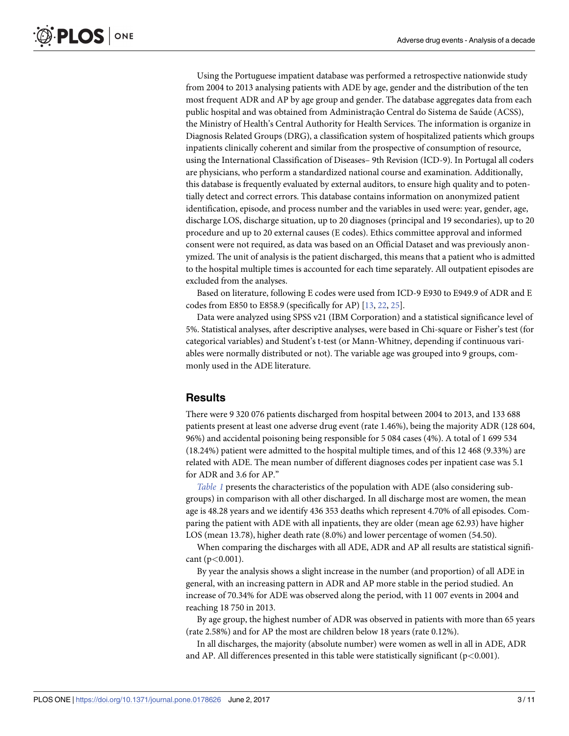<span id="page-2-0"></span>Using the Portuguese impatient database was performed a retrospective nationwide study from 2004 to 2013 analysing patients with ADE by age, gender and the distribution of the ten most frequent ADR and AP by age group and gender. The database aggregates data from each public hospital and was obtained from Administração Central do Sistema de Saúde (ACSS), the Ministry of Health's Central Authority for Health Services. The information is organize in Diagnosis Related Groups (DRG), a classification system of hospitalized patients which groups inpatients clinically coherent and similar from the prospective of consumption of resource, using the International Classification of Diseases– 9th Revision (ICD-9). In Portugal all coders are physicians, who perform a standardized national course and examination. Additionally, this database is frequently evaluated by external auditors, to ensure high quality and to potentially detect and correct errors. This database contains information on anonymized patient identification, episode, and process number and the variables in used were: year, gender, age, discharge LOS, discharge situation, up to 20 diagnoses (principal and 19 secondaries), up to 20 procedure and up to 20 external causes (E codes). Ethics committee approval and informed consent were not required, as data was based on an Official Dataset and was previously anonymized. The unit of analysis is the patient discharged, this means that a patient who is admitted to the hospital multiple times is accounted for each time separately. All outpatient episodes are excluded from the analyses.

Based on literature, following E codes were used from ICD-9 E930 to E949.9 of ADR and E codes from E850 to E858.9 (specifically for AP) [[13](#page-8-0), [22](#page-8-0), [25](#page-8-0)].

Data were analyzed using SPSS v21 (IBM Corporation) and a statistical significance level of 5%. Statistical analyses, after descriptive analyses, were based in Chi-square or Fisher's test (for categorical variables) and Student's t-test (or Mann-Whitney, depending if continuous variables were normally distributed or not). The variable age was grouped into 9 groups, commonly used in the ADE literature.

#### **Results**

There were 9 320 076 patients discharged from hospital between 2004 to 2013, and 133 688 patients present at least one adverse drug event (rate 1.46%), being the majority ADR (128 604, 96%) and accidental poisoning being responsible for 5 084 cases (4%). A total of 1 699 534 (18.24%) patient were admitted to the hospital multiple times, and of this 12 468 (9.33%) are related with ADE. The mean number of different diagnoses codes per inpatient case was 5.1 for ADR and 3.6 for AP."

*[Table](#page-3-0)* 1 presents the characteristics of the population with ADE (also considering subgroups) in comparison with all other discharged. In all discharge most are women, the mean age is 48.28 years and we identify 436 353 deaths which represent 4.70% of all episodes. Comparing the patient with ADE with all inpatients, they are older (mean age 62.93) have higher LOS (mean 13.78), higher death rate (8.0%) and lower percentage of women (54.50).

When comparing the discharges with all ADE, ADR and AP all results are statistical significant (p*<*0.001).

By year the analysis shows a slight increase in the number (and proportion) of all ADE in general, with an increasing pattern in ADR and AP more stable in the period studied. An increase of 70.34% for ADE was observed along the period, with 11 007 events in 2004 and reaching 18 750 in 2013.

By age group, the highest number of ADR was observed in patients with more than 65 years (rate 2.58%) and for AP the most are children below 18 years (rate 0.12%).

In all discharges, the majority (absolute number) were women as well in all in ADE, ADR and AP. All differences presented in this table were statistically significant (p*<*0.001).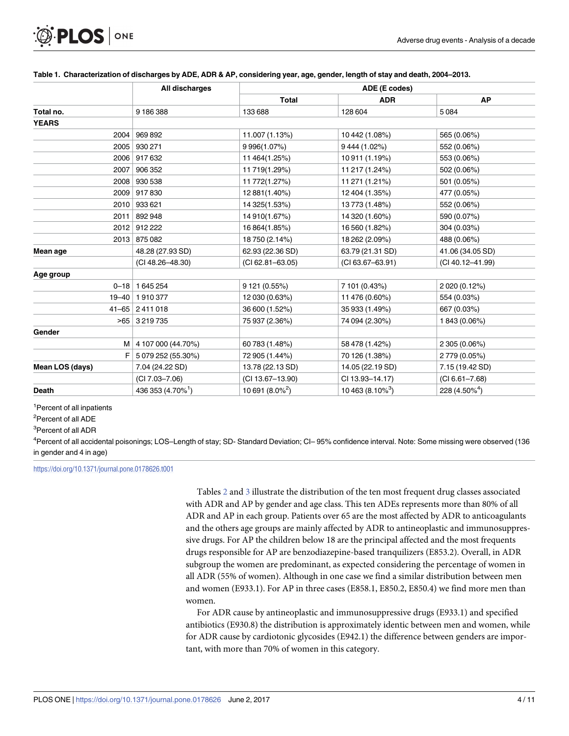|                 | All discharges                | ADE (E codes)               |                              |                    |  |  |  |
|-----------------|-------------------------------|-----------------------------|------------------------------|--------------------|--|--|--|
|                 |                               | <b>Total</b>                | <b>ADR</b>                   | <b>AP</b>          |  |  |  |
| Total no.       | 9186388                       | 133688                      | 128 604                      | 5084               |  |  |  |
| <b>YEARS</b>    |                               |                             |                              |                    |  |  |  |
| 2004            | 969892                        | 11.007 (1.13%)              | 10 442 (1.08%)               | 565 (0.06%)        |  |  |  |
| 2005            | 930 271                       | 9 996(1.07%)                | 9444 (1.02%)                 | 552 (0.06%)        |  |  |  |
| 2006            | 917632                        | 11 464 (1.25%)              | 10 911 (1.19%)               | 553 (0.06%)        |  |  |  |
| 2007            | 906 352                       | 11 719(1.29%)               | 11 217 (1.24%)               | 502 (0.06%)        |  |  |  |
| 2008            | 930 538                       | 11 772(1.27%)               | 11 271 (1.21%)               | 501 (0.05%)        |  |  |  |
| 2009            | 917830                        | 12 881 (1.40%)              | 12 404 (1.35%)               | 477 (0.05%)        |  |  |  |
| 2010            | 933 621                       | 14 325 (1.53%)              | 13773 (1.48%)                | 552 (0.06%)        |  |  |  |
| 2011            | 892 948                       | 14 910(1.67%)               | 14 320 (1.60%)               | 590 (0.07%)        |  |  |  |
|                 | 2012 912 222                  | 16 864 (1.85%)              | 16 560 (1.82%)               | 304 (0.03%)        |  |  |  |
|                 | 2013 875 082                  | 18 750 (2.14%)              | 18 262 (2.09%)               | 488 (0.06%)        |  |  |  |
| Mean age        | 48.28 (27.93 SD)              | 62.93 (22.36 SD)            | 63.79 (21.31 SD)             | 41.06 (34.05 SD)   |  |  |  |
|                 | (CI 48.26-48.30)              | $(CI 62.81 - 63.05)$        | $(CI 63.67 - 63.91)$         | (CI 40.12-41.99)   |  |  |  |
| Age group       |                               |                             |                              |                    |  |  |  |
|                 | $0 - 18$ 1 645 254            | 9 121 (0.55%)               | 7 101 (0.43%)                | 2 0 20 (0.12%)     |  |  |  |
|                 | 19-40   1910 377              | 12 030 (0.63%)              | 11 476 (0.60%)               | 554 (0.03%)        |  |  |  |
|                 | 41-65 2411 018                | 36 600 (1.52%)              | 35 933 (1.49%)               | 667 (0.03%)        |  |  |  |
|                 | >65 3 219 735                 | 75 937 (2.36%)              | 74 094 (2.30%)               | 1843 (0.06%)       |  |  |  |
| Gender          |                               |                             |                              |                    |  |  |  |
|                 | M   4 107 000 (44.70%)        | 60 783 (1.48%)              | 58 478 (1.42%)               | 2 305 (0.06%)      |  |  |  |
| F.              | 5 079 252 (55.30%)            | 72 905 (1.44%)              | 70 126 (1.38%)               | 2779 (0.05%)       |  |  |  |
| Mean LOS (days) | 7.04 (24.22 SD)               | 13.78 (22.13 SD)            | 14.05 (22.19 SD)             | 7.15 (19.42 SD)    |  |  |  |
|                 | $(CI 7.03 - 7.06)$            | (CI 13.67-13.90)            | CI 13.93-14.17)              | $(CI 6.61 - 7.68)$ |  |  |  |
| <b>Death</b>    | 436 353 (4.70% <sup>1</sup> ) | 10 691 (8.0% <sup>2</sup> ) | 10 463 (8.10% <sup>3</sup> ) | $228(4.50\%^{4})$  |  |  |  |

#### <span id="page-3-0"></span>[Table](#page-2-0) 1. Characterization of discharges by ADE, ADR & AP, considering year, age, gender, length of stay and death, 2004-2013.

<sup>1</sup> Percent of all inpatients

<sup>2</sup>Percent of all ADE

<sup>3</sup>Percent of all ADR

4 Percent of all accidental poisonings; LOS–Length of stay; SD- Standard Deviation; CI– 95% confidence interval. Note: Some missing were observed (136 in gender and 4 in age)

<https://doi.org/10.1371/journal.pone.0178626.t001>

Tables [2](#page-4-0) and [3](#page-4-0) illustrate the distribution of the ten most frequent drug classes associated with ADR and AP by gender and age class. This ten ADEs represents more than 80% of all ADR and AP in each group. Patients over 65 are the most affected by ADR to anticoagulants and the others age groups are mainly affected by ADR to antineoplastic and immunosuppressive drugs. For AP the children below 18 are the principal affected and the most frequents drugs responsible for AP are benzodiazepine-based tranquilizers (E853.2). Overall, in ADR subgroup the women are predominant, as expected considering the percentage of women in all ADR (55% of women). Although in one case we find a similar distribution between men and women (E933.1). For AP in three cases (E858.1, E850.2, E850.4) we find more men than women.

For ADR cause by antineoplastic and immunosuppressive drugs (E933.1) and specified antibiotics (E930.8) the distribution is approximately identic between men and women, while for ADR cause by cardiotonic glycosides (E942.1) the difference between genders are important, with more than 70% of women in this category.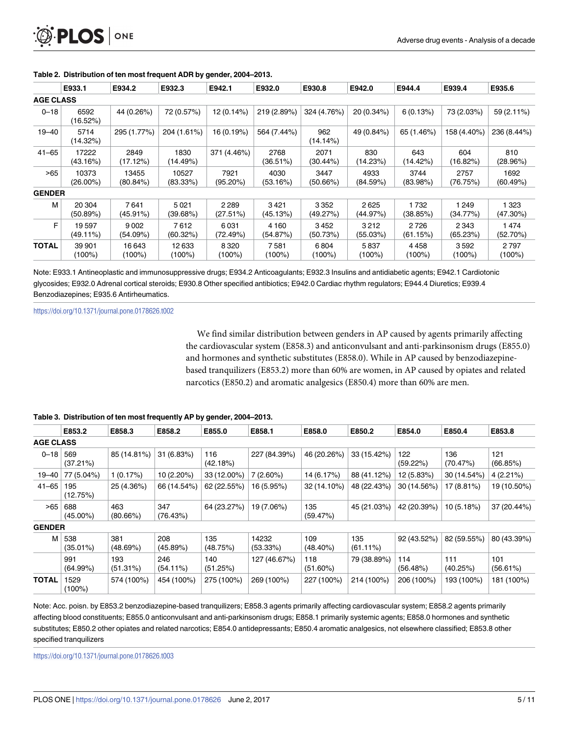<span id="page-4-0"></span>

|                  | E933.1             | E934.2               | E932.3               | E942.1              | E932.0              | E930.8              | E942.0           | E944.4           | E939.4                 | E935.6                 |
|------------------|--------------------|----------------------|----------------------|---------------------|---------------------|---------------------|------------------|------------------|------------------------|------------------------|
| <b>AGE CLASS</b> |                    |                      |                      |                     |                     |                     |                  |                  |                        |                        |
| $0 - 18$         | 6592<br>(16.52%)   | 44 (0.26%)           | 72 (0.57%)           | 12 (0.14%)          | 219 (2.89%)         | 324 (4.76%)         | 20 (0.34%)       | 6(0.13%)         | 73 (2.03%)             | 59 (2.11%)             |
| $19 - 40$        | 5714<br>(14.32%)   | 295 (1.77%)          | 204 (1.61%)          | 16 (0.19%)          | 564 (7.44%)         | 962<br>(14.14%)     | 49 (0.84%)       | 65 (1.46%)       | 158 (4.40%)            | 236 (8.44%)            |
| $41 - 65$        | 17222<br>(43.16%)  | 2849<br>(17.12%)     | 1830<br>(14.49%)     | 371 (4.46%)         | 2768<br>(36.51%)    | 2071<br>$(30.44\%)$ | 830<br>(14.23%)  | 643<br>(14.42%)  | 604<br>(16.82%)        | 810<br>(28.96%)        |
| >65              | 10373<br>(26.00%)  | 13455<br>$(80.84\%)$ | 10527<br>$(83.33\%)$ | 7921<br>$(95.20\%)$ | 4030<br>(53.16%)    | 3447<br>(50.66%)    | 4933<br>(84.59%) | 3744<br>(83.98%) | 2757<br>(76.75%)       | 1692<br>(60.49%)       |
| <b>GENDER</b>    |                    |                      |                      |                     |                     |                     |                  |                  |                        |                        |
| M                | 20 304<br>(50.89%) | 7641<br>$(45.91\%)$  | 5021<br>(39.68%)     | 2 2 8 9<br>(27.51%) | 3421<br>(45.13%)    | 3 3 5 2<br>(49.27%) | 2625<br>(44.97%) | 1732<br>(38.85%) | 1 2 4 9<br>$(34.77\%)$ | 1 3 2 3<br>$(47.30\%)$ |
| F                | 19597<br>(49.11%)  | 9002<br>(54.09%)     | 7612<br>(60.32%)     | 6031<br>(72.49%)    | 4 1 6 0<br>(54.87%) | 3452<br>(50.73%)    | 3212<br>(55.03%) | 2726<br>(61.15%) | 2 3 4 3<br>(65.23%)    | 1474<br>(52.70%)       |
| <b>TOTAL</b>     | 39 901<br>(100%)   | 16643<br>(100%)      | 12633<br>(100%)      | 8 3 2 0<br>(100%)   | 7581<br>(100%)      | 6804<br>(100%)      | 5837<br>(100%)   | 4458<br>(100%)   | 3592<br>$(100\%)$      | 2797<br>(100%)         |

#### **[Table](#page-3-0) 2. Distribution of ten most frequent ADR by gender, 2004–2013.**

Note: E933.1 Antineoplastic and immunosuppressive drugs; E934.2 Anticoagulants; E932.3 Insulins and antidiabetic agents; E942.1 Cardiotonic glycosides; E932.0 Adrenal cortical steroids; E930.8 Other specified antibiotics; E942.0 Cardiac rhythm regulators; E944.4 Diuretics; E939.4 Benzodiazepines; E935.6 Antirheumatics.

<https://doi.org/10.1371/journal.pone.0178626.t002>

We find similar distribution between genders in AP caused by agents primarily affecting the cardiovascular system (E858.3) and anticonvulsant and anti-parkinsonism drugs (E855.0) and hormones and synthetic substitutes (E858.0). While in AP caused by benzodiazepinebased tranquilizers (E853.2) more than 60% are women, in AP caused by opiates and related narcotics (E850.2) and aromatic analgesics (E850.4) more than 60% are men.

|                  | E853.2             | E858.3             | E858.2             | E855.0          | E858.1            | E858.0             | E850.2             | E854.0             | E850.4          | E853.8          |
|------------------|--------------------|--------------------|--------------------|-----------------|-------------------|--------------------|--------------------|--------------------|-----------------|-----------------|
| <b>AGE CLASS</b> |                    |                    |                    |                 |                   |                    |                    |                    |                 |                 |
| $0 - 18$         | 569<br>(37.21%)    | 85 (14.81%)        | 31 (6.83%)         | 116<br>(42.18%) | 227 (84.39%)      | 46 (20.26%)        | 33 (15.42%)        | 122<br>$(59.22\%)$ | 136<br>(70.47%) | 121<br>(66.85%) |
| 19–40            | 77 (5.04%)         | 1(0.17%)           | 10 (2.20%)         | 33 (12.00%)     | $7(2.60\%)$       | 14 (6.17%)         | 88 (41.12%)        | 12 (5.83%)         | 30 (14.54%)     | $4(2.21\%)$     |
| $41 - 65$        | 195<br>(12.75%)    | 25 (4.36%)         | 66 (14.54%)        | 62 (22.55%)     | 16 (5.95%)        | 32 (14.10%)        | 48 (22.43%)        | 30 (14.56%)        | 17 (8.81%)      | 19 (10.50%)     |
| >65              | 688<br>$(45.00\%)$ | 463<br>$(80.66\%)$ | 347<br>(76.43%)    | 64 (23.27%)     | 19 (7.06%)        | 135<br>(59.47%)    | 45 (21.03%)        | 42 (20.39%)        | 10 (5.18%)      | 37 (20.44%)     |
| <b>GENDER</b>    |                    |                    |                    |                 |                   |                    |                    |                    |                 |                 |
| M                | 538<br>$(35.01\%)$ | 381<br>(48.69%)    | 208<br>$(45.89\%)$ | 135<br>(48.75%) | 14232<br>(53.33%) | 109<br>$(48.40\%)$ | 135<br>$(61.11\%)$ | 92 (43.52%)        | 82 (59.55%)     | 80 (43.39%)     |
|                  | 991<br>(64.99%)    | 193<br>$(51.31\%)$ | 246<br>$(54.11\%)$ | 140<br>(51.25%) | 127 (46.67%)      | 118<br>$(51.60\%)$ | 79 (38.89%)        | 114<br>(56.48%)    | 111<br>(40.25%) | 101<br>(56.61%) |
| <b>TOTAL</b>     | 1529<br>$(100\%)$  | 574 (100%)         | 454 (100%)         | 275 (100%)      | 269 (100%)        | 227 (100%)         | 214 (100%)         | 206 (100%)         | 193 (100%)      | 181 (100%)      |

**[Table](#page-3-0) 3. Distribution of ten most frequently AP by gender, 2004–2013.**

Note: Acc. poisn. by E853.2 benzodiazepine-based tranquilizers; E858.3 agents primarily affecting cardiovascular system; E858.2 agents primarily affecting blood constituents; E855.0 anticonvulsant and anti-parkinsonism drugs; E858.1 primarily systemic agents; E858.0 hormones and synthetic substitutes; E850.2 other opiates and related narcotics; E854.0 antidepressants; E850.4 aromatic analgesics, not elsewhere classified; E853.8 other specified tranquilizers

<https://doi.org/10.1371/journal.pone.0178626.t003>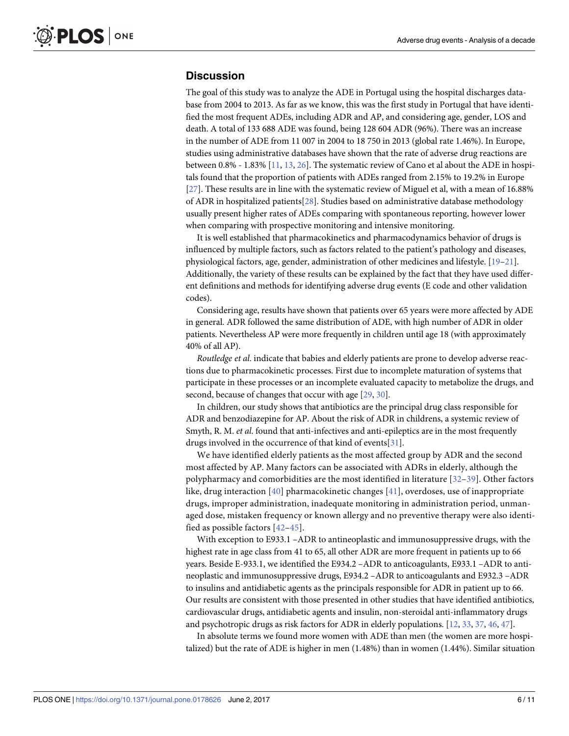#### <span id="page-5-0"></span>**Discussion**

The goal of this study was to analyze the ADE in Portugal using the hospital discharges database from 2004 to 2013. As far as we know, this was the first study in Portugal that have identified the most frequent ADEs, including ADR and AP, and considering age, gender, LOS and death. A total of 133 688 ADE was found, being 128 604 ADR (96%). There was an increase in the number of ADE from 11 007 in 2004 to 18 750 in 2013 (global rate 1.46%). In Europe, studies using administrative databases have shown that the rate of adverse drug reactions are between 0.8% - 1.83% [[11](#page-8-0), [13](#page-8-0), [26](#page-8-0)]. The systematic review of Cano et al about the ADE in hospitals found that the proportion of patients with ADEs ranged from 2.15% to 19.2% in Europe [\[27\]](#page-8-0). These results are in line with the systematic review of Miguel et al, with a mean of 16.88% of ADR in hospitalized patients[\[28\]](#page-8-0). Studies based on administrative database methodology usually present higher rates of ADEs comparing with spontaneous reporting, however lower when comparing with prospective monitoring and intensive monitoring.

It is well established that pharmacokinetics and pharmacodynamics behavior of drugs is influenced by multiple factors, such as factors related to the patient's pathology and diseases, physiological factors, age, gender, administration of other medicines and lifestyle. [[19](#page-8-0)–[21\]](#page-8-0). Additionally, the variety of these results can be explained by the fact that they have used different definitions and methods for identifying adverse drug events (E code and other validation codes).

Considering age, results have shown that patients over 65 years were more affected by ADE in general. ADR followed the same distribution of ADE, with high number of ADR in older patients. Nevertheless AP were more frequently in children until age 18 (with approximately 40% of all AP).

*Routledge et al*. indicate that babies and elderly patients are prone to develop adverse reactions due to pharmacokinetic processes. First due to incomplete maturation of systems that participate in these processes or an incomplete evaluated capacity to metabolize the drugs, and second, because of changes that occur with age [\[29,](#page-8-0) [30\]](#page-9-0).

In children, our study shows that antibiotics are the principal drug class responsible for ADR and benzodiazepine for AP. About the risk of ADR in childrens, a systemic review of Smyth, R. M. *et al*. found that anti-infectives and anti-epileptics are in the most frequently drugs involved in the occurrence of that kind of events[\[31\]](#page-9-0).

We have identified elderly patients as the most affected group by ADR and the second most affected by AP. Many factors can be associated with ADRs in elderly, although the polypharmacy and comorbidities are the most identified in literature [\[32–39](#page-9-0)]. Other factors like, drug interaction [\[40](#page-9-0)] pharmacokinetic changes [\[41](#page-9-0)], overdoses, use of inappropriate drugs, improper administration, inadequate monitoring in administration period, unmanaged dose, mistaken frequency or known allergy and no preventive therapy were also identified as possible factors [[42–45\]](#page-9-0).

With exception to E933.1 –ADR to antineoplastic and immunosuppressive drugs, with the highest rate in age class from 41 to 65, all other ADR are more frequent in patients up to 66 years. Beside E-933.1, we identified the E934.2 –ADR to anticoagulants, E933.1 –ADR to antineoplastic and immunosuppressive drugs, E934.2 –ADR to anticoagulants and E932.3 –ADR to insulins and antidiabetic agents as the principals responsible for ADR in patient up to 66. Our results are consistent with those presented in other studies that have identified antibiotics, cardiovascular drugs, antidiabetic agents and insulin, non-steroidal anti-inflammatory drugs and psychotropic drugs as risk factors for ADR in elderly populations. [\[12,](#page-8-0) [33,](#page-9-0) [37,](#page-9-0) [46,](#page-9-0) [47\]](#page-9-0).

In absolute terms we found more women with ADE than men (the women are more hospitalized) but the rate of ADE is higher in men (1.48%) than in women (1.44%). Similar situation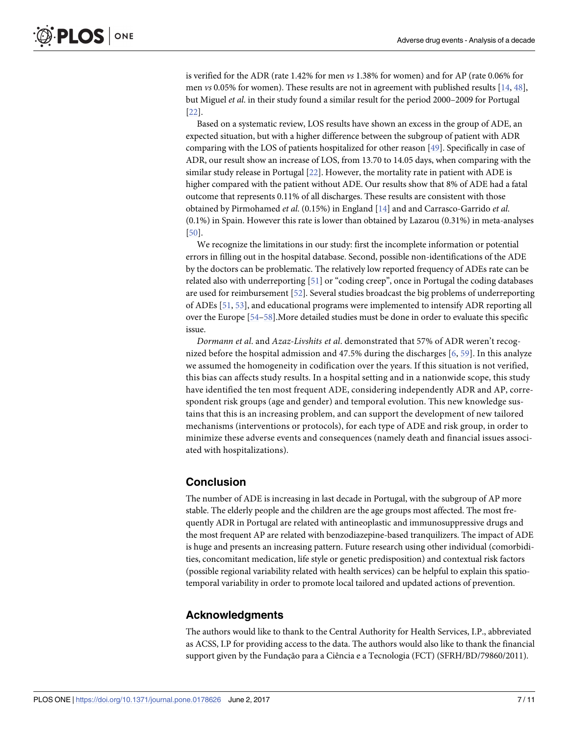<span id="page-6-0"></span>is verified for the ADR (rate 1.42% for men *vs* 1.38% for women) and for AP (rate 0.06% for men *vs* 0.05% for women). These results are not in agreement with published results [\[14,](#page-8-0) [48\]](#page-9-0), but Miguel *et al*. in their study found a similar result for the period 2000–2009 for Portugal [\[22\]](#page-8-0).

Based on a systematic review, LOS results have shown an excess in the group of ADE, an expected situation, but with a higher difference between the subgroup of patient with ADR comparing with the LOS of patients hospitalized for other reason [[49](#page-10-0)]. Specifically in case of ADR, our result show an increase of LOS, from 13.70 to 14.05 days, when comparing with the similar study release in Portugal [[22](#page-8-0)]. However, the mortality rate in patient with ADE is higher compared with the patient without ADE. Our results show that 8% of ADE had a fatal outcome that represents 0.11% of all discharges. These results are consistent with those obtained by Pirmohamed *et al*. (0.15%) in England [\[14\]](#page-8-0) and and Carrasco-Garrido *et al*. (0.1%) in Spain. However this rate is lower than obtained by Lazarou (0.31%) in meta-analyses [\[50\]](#page-10-0).

We recognize the limitations in our study: first the incomplete information or potential errors in filling out in the hospital database. Second, possible non-identifications of the ADE by the doctors can be problematic. The relatively low reported frequency of ADEs rate can be related also with underreporting [\[51\]](#page-10-0) or "coding creep", once in Portugal the coding databases are used for reimbursement [\[52\]](#page-10-0). Several studies broadcast the big problems of underreporting of ADEs [\[51,](#page-10-0) [53\]](#page-10-0), and educational programs were implemented to intensify ADR reporting all over the Europe [\[54–58](#page-10-0)].More detailed studies must be done in order to evaluate this specific issue.

*Dormann et al*. and *Azaz-Livshits et al*. demonstrated that 57% of ADR weren't recognized before the hospital admission and 47.5% during the discharges [[6,](#page-7-0) [59](#page-10-0)]. In this analyze we assumed the homogeneity in codification over the years. If this situation is not verified, this bias can affects study results. In a hospital setting and in a nationwide scope, this study have identified the ten most frequent ADE, considering independently ADR and AP, correspondent risk groups (age and gender) and temporal evolution. This new knowledge sustains that this is an increasing problem, and can support the development of new tailored mechanisms (interventions or protocols), for each type of ADE and risk group, in order to minimize these adverse events and consequences (namely death and financial issues associated with hospitalizations).

#### **Conclusion**

The number of ADE is increasing in last decade in Portugal, with the subgroup of AP more stable. The elderly people and the children are the age groups most affected. The most frequently ADR in Portugal are related with antineoplastic and immunosuppressive drugs and the most frequent AP are related with benzodiazepine-based tranquilizers. The impact of ADE is huge and presents an increasing pattern. Future research using other individual (comorbidities, concomitant medication, life style or genetic predisposition) and contextual risk factors (possible regional variability related with health services) can be helpful to explain this spatiotemporal variability in order to promote local tailored and updated actions of prevention.

#### **Acknowledgments**

The authors would like to thank to the Central Authority for Health Services, I.P., abbreviated as ACSS, I.P for providing access to the data. The authors would also like to thank the financial support given by the Fundação para a Ciência e a Tecnologia (FCT) (SFRH/BD/79860/2011).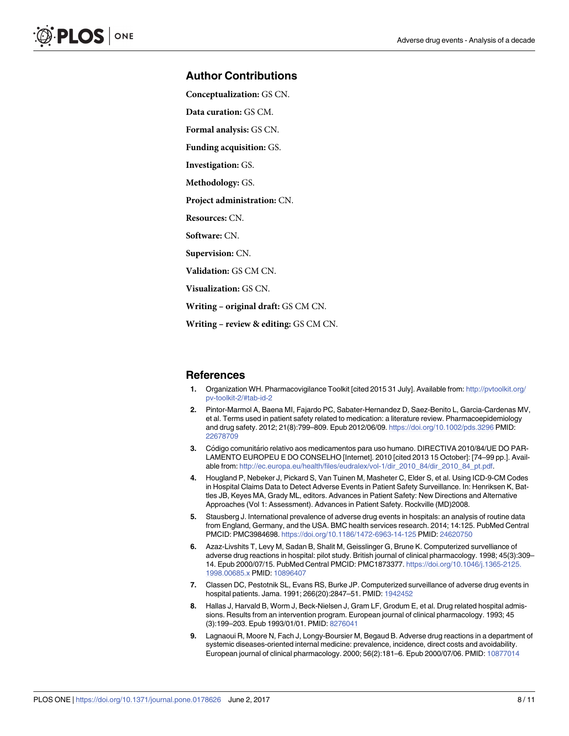#### <span id="page-7-0"></span>**Author Contributions**

**Conceptualization:** GS CN.

**Data curation:** GS CM.

**Formal analysis:** GS CN.

**Funding acquisition:** GS.

**Investigation:** GS.

**Methodology:** GS.

**Project administration:** CN.

**Resources:** CN.

**Software:** CN.

**Supervision:** CN.

**Validation:** GS CM CN.

**Visualization:** GS CN.

**Writing – original draft:** GS CM CN.

**Writing – review & editing:** GS CM CN.

#### **References**

- **[1](#page-1-0).** Organization WH. Pharmacovigilance Toolkit [cited 2015 31 July]. Available from: [http://pvtoolkit.org/](http://pvtoolkit.org/pv-toolkit-2/#tab-id-2) [pv-toolkit-2/#tab-id-2](http://pvtoolkit.org/pv-toolkit-2/#tab-id-2)
- **[2](#page-1-0).** Pintor-Marmol A, Baena MI, Fajardo PC, Sabater-Hernandez D, Saez-Benito L, Garcia-Cardenas MV, et al. Terms used in patient safety related to medication: a literature review. Pharmacoepidemiology and drug safety. 2012; 21(8):799–809. Epub 2012/06/09. <https://doi.org/10.1002/pds.3296> PMID: [22678709](http://www.ncbi.nlm.nih.gov/pubmed/22678709)
- **[3](#page-1-0).** Código comunitário relativo aos medicamentos para uso humano. DIRECTIVA 2010/84/UE DO PAR-LAMENTO EUROPEU E DO CONSELHO [Internet]. 2010 [cited 2013 15 October]: [74–99 pp.]. Available from: [http://ec.europa.eu/health/files/eudralex/vol-1/dir\\_2010\\_84/dir\\_2010\\_84\\_pt.pdf](http://ec.europa.eu/health/files/eudralex/vol-1/dir_2010_84/dir_2010_84_pt.pdf).
- **[4](#page-1-0).** Hougland P, Nebeker J, Pickard S, Van Tuinen M, Masheter C, Elder S, et al. Using ICD-9-CM Codes in Hospital Claims Data to Detect Adverse Events in Patient Safety Surveillance. In: Henriksen K, Battles JB, Keyes MA, Grady ML, editors. Advances in Patient Safety: New Directions and Alternative Approaches (Vol 1: Assessment). Advances in Patient Safety. Rockville (MD)2008.
- **[5](#page-1-0).** Stausberg J. International prevalence of adverse drug events in hospitals: an analysis of routine data from England, Germany, and the USA. BMC health services research. 2014; 14:125. PubMed Central PMCID: PMC3984698. <https://doi.org/10.1186/1472-6963-14-125> PMID: [24620750](http://www.ncbi.nlm.nih.gov/pubmed/24620750)
- **[6](#page-1-0).** Azaz-Livshits T, Levy M, Sadan B, Shalit M, Geisslinger G, Brune K. Computerized survelliance of adverse drug reactions in hospital: pilot study. British journal of clinical pharmacology. 1998; 45(3):309– 14. Epub 2000/07/15. PubMed Central PMCID: PMC1873377. [https://doi.org/10.1046/j.1365-2125.](https://doi.org/10.1046/j.1365-2125.1998.00685.x) [1998.00685.x](https://doi.org/10.1046/j.1365-2125.1998.00685.x) PMID: [10896407](http://www.ncbi.nlm.nih.gov/pubmed/10896407)
- **[7](#page-1-0).** Classen DC, Pestotnik SL, Evans RS, Burke JP. Computerized surveillance of adverse drug events in hospital patients. Jama. 1991; 266(20):2847–51. PMID: [1942452](http://www.ncbi.nlm.nih.gov/pubmed/1942452)
- **8.** Hallas J, Harvald B, Worm J, Beck-Nielsen J, Gram LF, Grodum E, et al. Drug related hospital admissions. Results from an intervention program. European journal of clinical pharmacology. 1993; 45 (3):199–203. Epub 1993/01/01. PMID: [8276041](http://www.ncbi.nlm.nih.gov/pubmed/8276041)
- **9.** Lagnaoui R, Moore N, Fach J, Longy-Boursier M, Begaud B. Adverse drug reactions in a department of systemic diseases-oriented internal medicine: prevalence, incidence, direct costs and avoidability. European journal of clinical pharmacology. 2000; 56(2):181–6. Epub 2000/07/06. PMID: [10877014](http://www.ncbi.nlm.nih.gov/pubmed/10877014)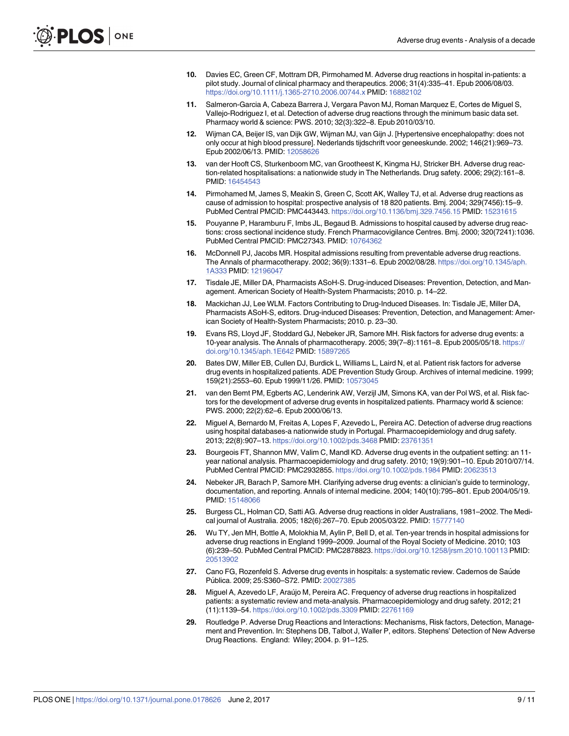- <span id="page-8-0"></span>**10.** Davies EC, Green CF, Mottram DR, Pirmohamed M. Adverse drug reactions in hospital in-patients: a pilot study. Journal of clinical pharmacy and therapeutics. 2006; 31(4):335–41. Epub 2006/08/03. <https://doi.org/10.1111/j.1365-2710.2006.00744.x> PMID: [16882102](http://www.ncbi.nlm.nih.gov/pubmed/16882102)
- **[11](#page-1-0).** Salmeron-Garcia A, Cabeza Barrera J, Vergara Pavon MJ, Roman Marquez E, Cortes de Miguel S, Vallejo-Rodriguez I, et al. Detection of adverse drug reactions through the minimum basic data set. Pharmacy world & science: PWS. 2010; 32(3):322–8. Epub 2010/03/10.
- **[12](#page-1-0).** Wijman CA, Beijer IS, van Dijk GW, Wijman MJ, van Gijn J. [Hypertensive encephalopathy: does not only occur at high blood pressure]. Nederlands tijdschrift voor geneeskunde. 2002; 146(21):969–73. Epub 2002/06/13. PMID: [12058626](http://www.ncbi.nlm.nih.gov/pubmed/12058626)
- **[13](#page-2-0).** van der Hooft CS, Sturkenboom MC, van Grootheest K, Kingma HJ, Stricker BH. Adverse drug reaction-related hospitalisations: a nationwide study in The Netherlands. Drug safety. 2006; 29(2):161–8. PMID: [16454543](http://www.ncbi.nlm.nih.gov/pubmed/16454543)
- **[14](#page-6-0).** Pirmohamed M, James S, Meakin S, Green C, Scott AK, Walley TJ, et al. Adverse drug reactions as cause of admission to hospital: prospective analysis of 18 820 patients. Bmj. 2004; 329(7456):15–9. PubMed Central PMCID: PMC443443. <https://doi.org/10.1136/bmj.329.7456.15> PMID: [15231615](http://www.ncbi.nlm.nih.gov/pubmed/15231615)
- **[15](#page-1-0).** Pouyanne P, Haramburu F, Imbs JL, Begaud B. Admissions to hospital caused by adverse drug reactions: cross sectional incidence study. French Pharmacovigilance Centres. Bmj. 2000; 320(7241):1036. PubMed Central PMCID: PMC27343. PMID: [10764362](http://www.ncbi.nlm.nih.gov/pubmed/10764362)
- **[16](#page-1-0).** McDonnell PJ, Jacobs MR. Hospital admissions resulting from preventable adverse drug reactions. The Annals of pharmacotherapy. 2002; 36(9):1331–6. Epub 2002/08/28. [https://doi.org/10.1345/aph.](https://doi.org/10.1345/aph.1A333) [1A333](https://doi.org/10.1345/aph.1A333) PMID: [12196047](http://www.ncbi.nlm.nih.gov/pubmed/12196047)
- **[17](#page-1-0).** Tisdale JE, Miller DA, Pharmacists ASoH-S. Drug-induced Diseases: Prevention, Detection, and Management. American Society of Health-System Pharmacists; 2010. p. 14–22.
- **[18](#page-1-0).** Mackichan JJ, Lee WLM. Factors Contributing to Drug-Induced Diseases. In: Tisdale JE, Miller DA, Pharmacists ASoH-S, editors. Drug-induced Diseases: Prevention, Detection, and Management: American Society of Health-System Pharmacists; 2010. p. 23–30.
- **[19](#page-1-0).** Evans RS, Lloyd JF, Stoddard GJ, Nebeker JR, Samore MH. Risk factors for adverse drug events: a 10-year analysis. The Annals of pharmacotherapy. 2005; 39(7–8):1161–8. Epub 2005/05/18. [https://](https://doi.org/10.1345/aph.1E642) [doi.org/10.1345/aph.1E642](https://doi.org/10.1345/aph.1E642) PMID: [15897265](http://www.ncbi.nlm.nih.gov/pubmed/15897265)
- **20.** Bates DW, Miller EB, Cullen DJ, Burdick L, Williams L, Laird N, et al. Patient risk factors for adverse drug events in hospitalized patients. ADE Prevention Study Group. Archives of internal medicine. 1999; 159(21):2553–60. Epub 1999/11/26. PMID: [10573045](http://www.ncbi.nlm.nih.gov/pubmed/10573045)
- **[21](#page-1-0).** van den Bemt PM, Egberts AC, Lenderink AW, Verzijl JM, Simons KA, van der Pol WS, et al. Risk factors for the development of adverse drug events in hospitalized patients. Pharmacy world & science: PWS. 2000; 22(2):62–6. Epub 2000/06/13.
- **[22](#page-1-0).** Miguel A, Bernardo M, Freitas A, Lopes F, Azevedo L, Pereira AC. Detection of adverse drug reactions using hospital databases-a nationwide study in Portugal. Pharmacoepidemiology and drug safety. 2013; 22(8):907–13. <https://doi.org/10.1002/pds.3468> PMID: [23761351](http://www.ncbi.nlm.nih.gov/pubmed/23761351)
- **[23](#page-1-0).** Bourgeois FT, Shannon MW, Valim C, Mandl KD. Adverse drug events in the outpatient setting: an 11 year national analysis. Pharmacoepidemiology and drug safety. 2010; 19(9):901–10. Epub 2010/07/14. PubMed Central PMCID: PMC2932855. <https://doi.org/10.1002/pds.1984> PMID: [20623513](http://www.ncbi.nlm.nih.gov/pubmed/20623513)
- **24.** Nebeker JR, Barach P, Samore MH. Clarifying adverse drug events: a clinician's guide to terminology, documentation, and reporting. Annals of internal medicine. 2004; 140(10):795–801. Epub 2004/05/19. PMID: [15148066](http://www.ncbi.nlm.nih.gov/pubmed/15148066)
- **[25](#page-1-0).** Burgess CL, Holman CD, Satti AG. Adverse drug reactions in older Australians, 1981–2002. The Medical journal of Australia. 2005; 182(6):267–70. Epub 2005/03/22. PMID: [15777140](http://www.ncbi.nlm.nih.gov/pubmed/15777140)
- **[26](#page-5-0).** Wu TY, Jen MH, Bottle A, Molokhia M, Aylin P, Bell D, et al. Ten-year trends in hospital admissions for adverse drug reactions in England 1999–2009. Journal of the Royal Society of Medicine. 2010; 103 (6):239–50. PubMed Central PMCID: PMC2878823. <https://doi.org/10.1258/jrsm.2010.100113> PMID: [20513902](http://www.ncbi.nlm.nih.gov/pubmed/20513902)
- **[27](#page-5-0).** Cano FG, Rozenfeld S. Adverse drug events in hospitals: a systematic review. Cadernos de Sau´de Pu´blica. 2009; 25:S360–S72. PMID: [20027385](http://www.ncbi.nlm.nih.gov/pubmed/20027385)
- [28](#page-5-0). Miguel A, Azevedo LF, Araújo M, Pereira AC. Frequency of adverse drug reactions in hospitalized patients: a systematic review and meta-analysis. Pharmacoepidemiology and drug safety. 2012; 21 (11):1139–54. <https://doi.org/10.1002/pds.3309> PMID: [22761169](http://www.ncbi.nlm.nih.gov/pubmed/22761169)
- **[29](#page-5-0).** Routledge P. Adverse Drug Reactions and Interactions: Mechanisms, Risk factors, Detection, Management and Prevention. In: Stephens DB, Talbot J, Waller P, editors. Stephens' Detection of New Adverse Drug Reactions. England: Wiley; 2004. p. 91–125.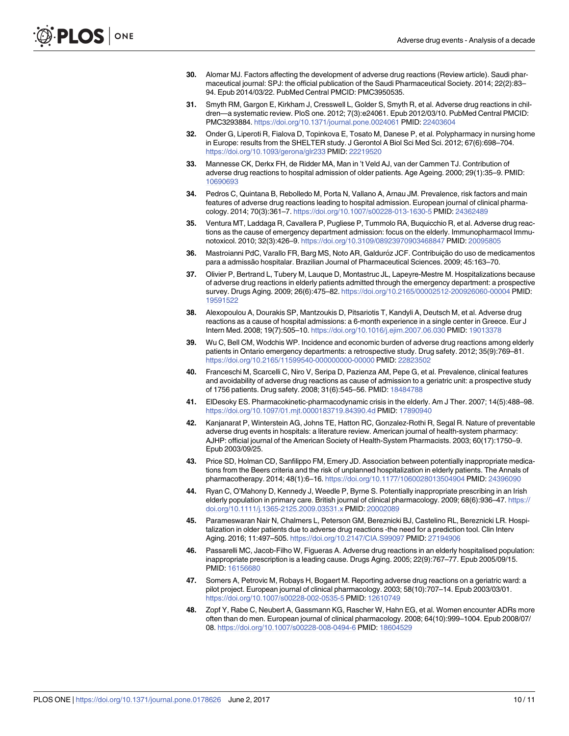- <span id="page-9-0"></span>**[30](#page-5-0).** Alomar MJ. Factors affecting the development of adverse drug reactions (Review article). Saudi pharmaceutical journal: SPJ: the official publication of the Saudi Pharmaceutical Society. 2014; 22(2):83– 94. Epub 2014/03/22. PubMed Central PMCID: PMC3950535.
- **[31](#page-5-0).** Smyth RM, Gargon E, Kirkham J, Cresswell L, Golder S, Smyth R, et al. Adverse drug reactions in children—a systematic review. PloS one. 2012; 7(3):e24061. Epub 2012/03/10. PubMed Central PMCID: PMC3293884. <https://doi.org/10.1371/journal.pone.0024061> PMID: [22403604](http://www.ncbi.nlm.nih.gov/pubmed/22403604)
- **[32](#page-5-0).** Onder G, Liperoti R, Fialova D, Topinkova E, Tosato M, Danese P, et al. Polypharmacy in nursing home in Europe: results from the SHELTER study. J Gerontol A Biol Sci Med Sci. 2012; 67(6):698–704. <https://doi.org/10.1093/gerona/glr233> PMID: [22219520](http://www.ncbi.nlm.nih.gov/pubmed/22219520)
- **[33](#page-5-0).** Mannesse CK, Derkx FH, de Ridder MA, Man in 't Veld AJ, van der Cammen TJ. Contribution of adverse drug reactions to hospital admission of older patients. Age Ageing. 2000; 29(1):35–9. PMID: [10690693](http://www.ncbi.nlm.nih.gov/pubmed/10690693)
- **34.** Pedros C, Quintana B, Rebolledo M, Porta N, Vallano A, Arnau JM. Prevalence, risk factors and main features of adverse drug reactions leading to hospital admission. European journal of clinical pharmacology. 2014; 70(3):361–7. <https://doi.org/10.1007/s00228-013-1630-5> PMID: [24362489](http://www.ncbi.nlm.nih.gov/pubmed/24362489)
- **35.** Ventura MT, Laddaga R, Cavallera P, Pugliese P, Tummolo RA, Buquicchio R, et al. Adverse drug reactions as the cause of emergency department admission: focus on the elderly. Immunopharmacol Immunotoxicol. 2010; 32(3):426–9. <https://doi.org/10.3109/08923970903468847> PMID: [20095805](http://www.ncbi.nlm.nih.gov/pubmed/20095805)
- **36.** Mastroianni PdC, Varallo FR, Barg MS, Noto AR, Galduróz JCF. Contribuição do uso de medicamentos para a admissão hospitalar. Brazilian Journal of Pharmaceutical Sciences. 2009; 45:163–70.
- **[37](#page-5-0).** Olivier P, Bertrand L, Tubery M, Lauque D, Montastruc JL, Lapeyre-Mestre M. Hospitalizations because of adverse drug reactions in elderly patients admitted through the emergency department: a prospective survey. Drugs Aging. 2009; 26(6):475–82. <https://doi.org/10.2165/00002512-200926060-00004> PMID: [19591522](http://www.ncbi.nlm.nih.gov/pubmed/19591522)
- **38.** Alexopoulou A, Dourakis SP, Mantzoukis D, Pitsariotis T, Kandyli A, Deutsch M, et al. Adverse drug reactions as a cause of hospital admissions: a 6-month experience in a single center in Greece. Eur J Intern Med. 2008; 19(7):505–10. <https://doi.org/10.1016/j.ejim.2007.06.030> PMID: [19013378](http://www.ncbi.nlm.nih.gov/pubmed/19013378)
- **[39](#page-5-0).** Wu C, Bell CM, Wodchis WP. Incidence and economic burden of adverse drug reactions among elderly patients in Ontario emergency departments: a retrospective study. Drug safety. 2012; 35(9):769–81. <https://doi.org/10.2165/11599540-000000000-00000> PMID: [22823502](http://www.ncbi.nlm.nih.gov/pubmed/22823502)
- **[40](#page-5-0).** Franceschi M, Scarcelli C, Niro V, Seripa D, Pazienza AM, Pepe G, et al. Prevalence, clinical features and avoidability of adverse drug reactions as cause of admission to a geriatric unit: a prospective study of 1756 patients. Drug safety. 2008; 31(6):545–56. PMID: [18484788](http://www.ncbi.nlm.nih.gov/pubmed/18484788)
- **[41](#page-5-0).** ElDesoky ES. Pharmacokinetic-pharmacodynamic crisis in the elderly. Am J Ther. 2007; 14(5):488–98. <https://doi.org/10.1097/01.mjt.0000183719.84390.4d> PMID: [17890940](http://www.ncbi.nlm.nih.gov/pubmed/17890940)
- **[42](#page-5-0).** Kanjanarat P, Winterstein AG, Johns TE, Hatton RC, Gonzalez-Rothi R, Segal R. Nature of preventable adverse drug events in hospitals: a literature review. American journal of health-system pharmacy: AJHP: official journal of the American Society of Health-System Pharmacists. 2003; 60(17):1750–9. Epub 2003/09/25.
- **43.** Price SD, Holman CD, Sanfilippo FM, Emery JD. Association between potentially inappropriate medications from the Beers criteria and the risk of unplanned hospitalization in elderly patients. The Annals of pharmacotherapy. 2014; 48(1):6–16. <https://doi.org/10.1177/1060028013504904> PMID: [24396090](http://www.ncbi.nlm.nih.gov/pubmed/24396090)
- **44.** Ryan C, O'Mahony D, Kennedy J, Weedle P, Byrne S. Potentially inappropriate prescribing in an Irish elderly population in primary care. British journal of clinical pharmacology. 2009; 68(6):936-47. [https://](https://doi.org/10.1111/j.1365-2125.2009.03531.x) [doi.org/10.1111/j.1365-2125.2009.03531.x](https://doi.org/10.1111/j.1365-2125.2009.03531.x) PMID: [20002089](http://www.ncbi.nlm.nih.gov/pubmed/20002089)
- **[45](#page-5-0).** Parameswaran Nair N, Chalmers L, Peterson GM, Bereznicki BJ, Castelino RL, Bereznicki LR. Hospitalization in older patients due to adverse drug reactions -the need for a prediction tool. Clin Interv Aging. 2016; 11:497–505. <https://doi.org/10.2147/CIA.S99097> PMID: [27194906](http://www.ncbi.nlm.nih.gov/pubmed/27194906)
- **[46](#page-5-0).** Passarelli MC, Jacob-Filho W, Figueras A. Adverse drug reactions in an elderly hospitalised population: inappropriate prescription is a leading cause. Drugs Aging. 2005; 22(9):767–77. Epub 2005/09/15. PMID: [16156680](http://www.ncbi.nlm.nih.gov/pubmed/16156680)
- **[47](#page-5-0).** Somers A, Petrovic M, Robays H, Bogaert M. Reporting adverse drug reactions on a geriatric ward: a pilot project. European journal of clinical pharmacology. 2003; 58(10):707–14. Epub 2003/03/01. <https://doi.org/10.1007/s00228-002-0535-5> PMID: [12610749](http://www.ncbi.nlm.nih.gov/pubmed/12610749)
- **[48](#page-6-0).** Zopf Y, Rabe C, Neubert A, Gassmann KG, Rascher W, Hahn EG, et al. Women encounter ADRs more often than do men. European journal of clinical pharmacology. 2008; 64(10):999–1004. Epub 2008/07/ 08. <https://doi.org/10.1007/s00228-008-0494-6> PMID: [18604529](http://www.ncbi.nlm.nih.gov/pubmed/18604529)